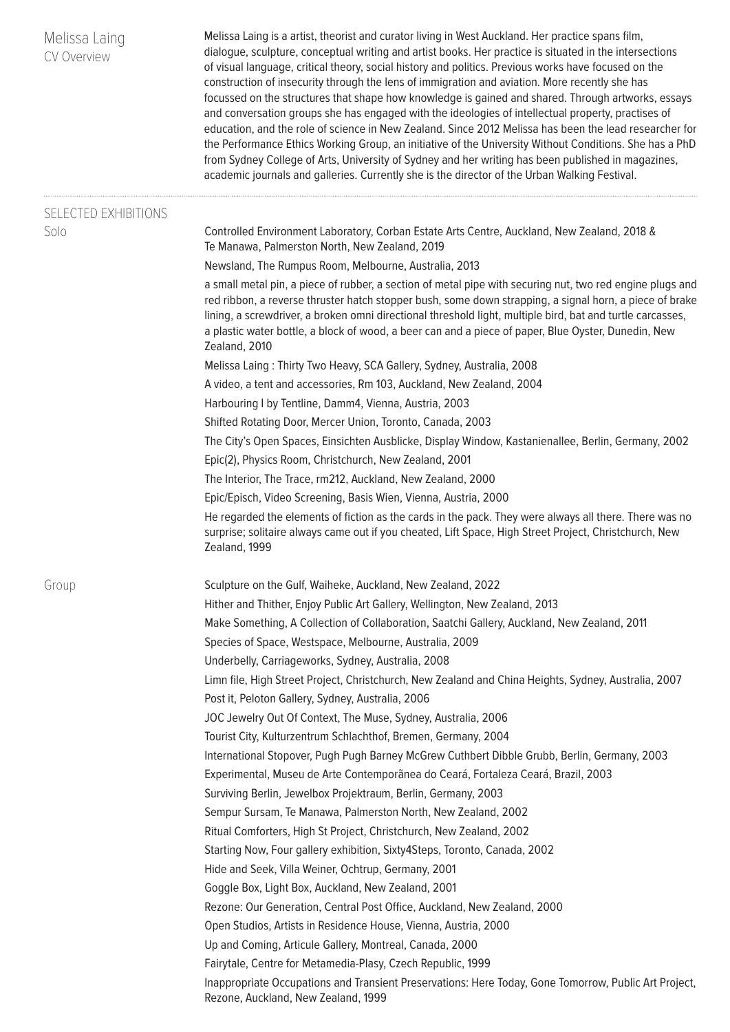| Melissa Laing<br>CV Overview | Melissa Laing is a artist, theorist and curator living in West Auckland. Her practice spans film,<br>dialogue, sculpture, conceptual writing and artist books. Her practice is situated in the intersections<br>of visual language, critical theory, social history and politics. Previous works have focused on the<br>construction of insecurity through the lens of immigration and aviation. More recently she has<br>focussed on the structures that shape how knowledge is gained and shared. Through artworks, essays<br>and conversation groups she has engaged with the ideologies of intellectual property, practises of<br>education, and the role of science in New Zealand. Since 2012 Melissa has been the lead researcher for<br>the Performance Ethics Working Group, an initiative of the University Without Conditions. She has a PhD<br>from Sydney College of Arts, University of Sydney and her writing has been published in magazines,<br>academic journals and galleries. Currently she is the director of the Urban Walking Festival. |
|------------------------------|----------------------------------------------------------------------------------------------------------------------------------------------------------------------------------------------------------------------------------------------------------------------------------------------------------------------------------------------------------------------------------------------------------------------------------------------------------------------------------------------------------------------------------------------------------------------------------------------------------------------------------------------------------------------------------------------------------------------------------------------------------------------------------------------------------------------------------------------------------------------------------------------------------------------------------------------------------------------------------------------------------------------------------------------------------------|
| SELECTED EXHIBITIONS<br>Solo | Controlled Environment Laboratory, Corban Estate Arts Centre, Auckland, New Zealand, 2018 &<br>Te Manawa, Palmerston North, New Zealand, 2019                                                                                                                                                                                                                                                                                                                                                                                                                                                                                                                                                                                                                                                                                                                                                                                                                                                                                                                  |
|                              | Newsland, The Rumpus Room, Melbourne, Australia, 2013                                                                                                                                                                                                                                                                                                                                                                                                                                                                                                                                                                                                                                                                                                                                                                                                                                                                                                                                                                                                          |
|                              | a small metal pin, a piece of rubber, a section of metal pipe with securing nut, two red engine plugs and<br>red ribbon, a reverse thruster hatch stopper bush, some down strapping, a signal horn, a piece of brake<br>lining, a screwdriver, a broken omni directional threshold light, multiple bird, bat and turtle carcasses,<br>a plastic water bottle, a block of wood, a beer can and a piece of paper, Blue Oyster, Dunedin, New<br>Zealand, 2010                                                                                                                                                                                                                                                                                                                                                                                                                                                                                                                                                                                                     |
|                              | Melissa Laing: Thirty Two Heavy, SCA Gallery, Sydney, Australia, 2008<br>A video, a tent and accessories, Rm 103, Auckland, New Zealand, 2004                                                                                                                                                                                                                                                                                                                                                                                                                                                                                                                                                                                                                                                                                                                                                                                                                                                                                                                  |
|                              | Harbouring I by Tentline, Damm4, Vienna, Austria, 2003<br>Shifted Rotating Door, Mercer Union, Toronto, Canada, 2003                                                                                                                                                                                                                                                                                                                                                                                                                                                                                                                                                                                                                                                                                                                                                                                                                                                                                                                                           |
|                              | The City's Open Spaces, Einsichten Ausblicke, Display Window, Kastanienallee, Berlin, Germany, 2002<br>Epic(2), Physics Room, Christchurch, New Zealand, 2001                                                                                                                                                                                                                                                                                                                                                                                                                                                                                                                                                                                                                                                                                                                                                                                                                                                                                                  |
|                              | The Interior, The Trace, rm212, Auckland, New Zealand, 2000                                                                                                                                                                                                                                                                                                                                                                                                                                                                                                                                                                                                                                                                                                                                                                                                                                                                                                                                                                                                    |
|                              | Epic/Episch, Video Screening, Basis Wien, Vienna, Austria, 2000                                                                                                                                                                                                                                                                                                                                                                                                                                                                                                                                                                                                                                                                                                                                                                                                                                                                                                                                                                                                |
|                              | He regarded the elements of fiction as the cards in the pack. They were always all there. There was no<br>surprise; solitaire always came out if you cheated, Lift Space, High Street Project, Christchurch, New<br>Zealand, 1999                                                                                                                                                                                                                                                                                                                                                                                                                                                                                                                                                                                                                                                                                                                                                                                                                              |
| Group                        | Sculpture on the Gulf, Waiheke, Auckland, New Zealand, 2022                                                                                                                                                                                                                                                                                                                                                                                                                                                                                                                                                                                                                                                                                                                                                                                                                                                                                                                                                                                                    |
|                              | Hither and Thither, Enjoy Public Art Gallery, Wellington, New Zealand, 2013                                                                                                                                                                                                                                                                                                                                                                                                                                                                                                                                                                                                                                                                                                                                                                                                                                                                                                                                                                                    |
|                              | Make Something, A Collection of Collaboration, Saatchi Gallery, Auckland, New Zealand, 2011                                                                                                                                                                                                                                                                                                                                                                                                                                                                                                                                                                                                                                                                                                                                                                                                                                                                                                                                                                    |
|                              | Species of Space, Westspace, Melbourne, Australia, 2009                                                                                                                                                                                                                                                                                                                                                                                                                                                                                                                                                                                                                                                                                                                                                                                                                                                                                                                                                                                                        |
|                              | Underbelly, Carriageworks, Sydney, Australia, 2008                                                                                                                                                                                                                                                                                                                                                                                                                                                                                                                                                                                                                                                                                                                                                                                                                                                                                                                                                                                                             |
|                              | Limn file, High Street Project, Christchurch, New Zealand and China Heights, Sydney, Australia, 2007                                                                                                                                                                                                                                                                                                                                                                                                                                                                                                                                                                                                                                                                                                                                                                                                                                                                                                                                                           |
|                              | Post it, Peloton Gallery, Sydney, Australia, 2006                                                                                                                                                                                                                                                                                                                                                                                                                                                                                                                                                                                                                                                                                                                                                                                                                                                                                                                                                                                                              |
|                              | JOC Jewelry Out Of Context, The Muse, Sydney, Australia, 2006                                                                                                                                                                                                                                                                                                                                                                                                                                                                                                                                                                                                                                                                                                                                                                                                                                                                                                                                                                                                  |
|                              | Tourist City, Kulturzentrum Schlachthof, Bremen, Germany, 2004                                                                                                                                                                                                                                                                                                                                                                                                                                                                                                                                                                                                                                                                                                                                                                                                                                                                                                                                                                                                 |
|                              | International Stopover, Pugh Pugh Barney McGrew Cuthbert Dibble Grubb, Berlin, Germany, 2003                                                                                                                                                                                                                                                                                                                                                                                                                                                                                                                                                                                                                                                                                                                                                                                                                                                                                                                                                                   |
|                              | Experimental, Museu de Arte Contemporãnea do Ceará, Fortaleza Ceará, Brazil, 2003<br>Surviving Berlin, Jewelbox Projektraum, Berlin, Germany, 2003                                                                                                                                                                                                                                                                                                                                                                                                                                                                                                                                                                                                                                                                                                                                                                                                                                                                                                             |
|                              | Sempur Sursam, Te Manawa, Palmerston North, New Zealand, 2002                                                                                                                                                                                                                                                                                                                                                                                                                                                                                                                                                                                                                                                                                                                                                                                                                                                                                                                                                                                                  |
|                              | Ritual Comforters, High St Project, Christchurch, New Zealand, 2002                                                                                                                                                                                                                                                                                                                                                                                                                                                                                                                                                                                                                                                                                                                                                                                                                                                                                                                                                                                            |
|                              | Starting Now, Four gallery exhibition, Sixty4Steps, Toronto, Canada, 2002                                                                                                                                                                                                                                                                                                                                                                                                                                                                                                                                                                                                                                                                                                                                                                                                                                                                                                                                                                                      |
|                              | Hide and Seek, Villa Weiner, Ochtrup, Germany, 2001                                                                                                                                                                                                                                                                                                                                                                                                                                                                                                                                                                                                                                                                                                                                                                                                                                                                                                                                                                                                            |
|                              | Goggle Box, Light Box, Auckland, New Zealand, 2001                                                                                                                                                                                                                                                                                                                                                                                                                                                                                                                                                                                                                                                                                                                                                                                                                                                                                                                                                                                                             |
|                              | Rezone: Our Generation, Central Post Office, Auckland, New Zealand, 2000                                                                                                                                                                                                                                                                                                                                                                                                                                                                                                                                                                                                                                                                                                                                                                                                                                                                                                                                                                                       |
|                              | Open Studios, Artists in Residence House, Vienna, Austria, 2000                                                                                                                                                                                                                                                                                                                                                                                                                                                                                                                                                                                                                                                                                                                                                                                                                                                                                                                                                                                                |
|                              | Up and Coming, Articule Gallery, Montreal, Canada, 2000                                                                                                                                                                                                                                                                                                                                                                                                                                                                                                                                                                                                                                                                                                                                                                                                                                                                                                                                                                                                        |
|                              | Fairytale, Centre for Metamedia-Plasy, Czech Republic, 1999                                                                                                                                                                                                                                                                                                                                                                                                                                                                                                                                                                                                                                                                                                                                                                                                                                                                                                                                                                                                    |
|                              | Inappropriate Occupations and Transient Preservations: Here Today, Gone Tomorrow, Public Art Project,<br>Rezone, Auckland, New Zealand, 1999                                                                                                                                                                                                                                                                                                                                                                                                                                                                                                                                                                                                                                                                                                                                                                                                                                                                                                                   |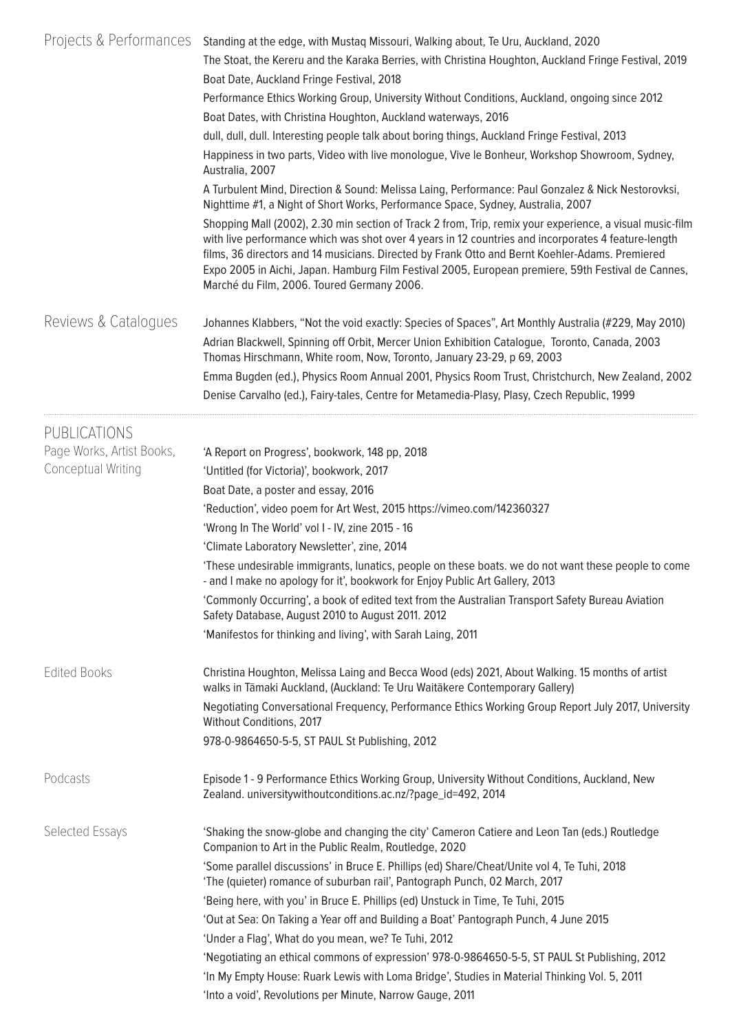| Projects & Performances   | Standing at the edge, with Mustaq Missouri, Walking about, Te Uru, Auckland, 2020<br>The Stoat, the Kereru and the Karaka Berries, with Christina Houghton, Auckland Fringe Festival, 2019<br>Boat Date, Auckland Fringe Festival, 2018                                                                                                                                                                                                                                |  |  |
|---------------------------|------------------------------------------------------------------------------------------------------------------------------------------------------------------------------------------------------------------------------------------------------------------------------------------------------------------------------------------------------------------------------------------------------------------------------------------------------------------------|--|--|
|                           | Performance Ethics Working Group, University Without Conditions, Auckland, ongoing since 2012<br>Boat Dates, with Christina Houghton, Auckland waterways, 2016                                                                                                                                                                                                                                                                                                         |  |  |
|                           | dull, dull, dull. Interesting people talk about boring things, Auckland Fringe Festival, 2013                                                                                                                                                                                                                                                                                                                                                                          |  |  |
|                           | Happiness in two parts, Video with live monologue, Vive le Bonheur, Workshop Showroom, Sydney,<br>Australia, 2007                                                                                                                                                                                                                                                                                                                                                      |  |  |
|                           | A Turbulent Mind, Direction & Sound: Melissa Laing, Performance: Paul Gonzalez & Nick Nestorovksi,<br>Nighttime #1, a Night of Short Works, Performance Space, Sydney, Australia, 2007                                                                                                                                                                                                                                                                                 |  |  |
|                           | Shopping Mall (2002), 2.30 min section of Track 2 from, Trip, remix your experience, a visual music-film<br>with live performance which was shot over 4 years in 12 countries and incorporates 4 feature-length<br>films, 36 directors and 14 musicians. Directed by Frank Otto and Bernt Koehler-Adams. Premiered<br>Expo 2005 in Aichi, Japan. Hamburg Film Festival 2005, European premiere, 59th Festival de Cannes,<br>Marché du Film, 2006. Toured Germany 2006. |  |  |
| Reviews & Catalogues      | Johannes Klabbers, "Not the void exactly: Species of Spaces", Art Monthly Australia (#229, May 2010)                                                                                                                                                                                                                                                                                                                                                                   |  |  |
|                           | Adrian Blackwell, Spinning off Orbit, Mercer Union Exhibition Catalogue, Toronto, Canada, 2003<br>Thomas Hirschmann, White room, Now, Toronto, January 23-29, p 69, 2003                                                                                                                                                                                                                                                                                               |  |  |
|                           | Emma Bugden (ed.), Physics Room Annual 2001, Physics Room Trust, Christchurch, New Zealand, 2002                                                                                                                                                                                                                                                                                                                                                                       |  |  |
|                           | Denise Carvalho (ed.), Fairy-tales, Centre for Metamedia-Plasy, Plasy, Czech Republic, 1999                                                                                                                                                                                                                                                                                                                                                                            |  |  |
| PUBLICATIONS              |                                                                                                                                                                                                                                                                                                                                                                                                                                                                        |  |  |
| Page Works, Artist Books, | 'A Report on Progress', bookwork, 148 pp, 2018                                                                                                                                                                                                                                                                                                                                                                                                                         |  |  |
| Conceptual Writing        | 'Untitled (for Victoria)', bookwork, 2017                                                                                                                                                                                                                                                                                                                                                                                                                              |  |  |
|                           | Boat Date, a poster and essay, 2016                                                                                                                                                                                                                                                                                                                                                                                                                                    |  |  |
|                           | 'Reduction', video poem for Art West, 2015 https://vimeo.com/142360327                                                                                                                                                                                                                                                                                                                                                                                                 |  |  |
|                           | 'Wrong In The World' vol I - IV, zine 2015 - 16                                                                                                                                                                                                                                                                                                                                                                                                                        |  |  |
|                           | 'Climate Laboratory Newsletter', zine, 2014                                                                                                                                                                                                                                                                                                                                                                                                                            |  |  |
|                           | 'These undesirable immigrants, lunatics, people on these boats. we do not want these people to come<br>- and I make no apology for it', bookwork for Enjoy Public Art Gallery, 2013                                                                                                                                                                                                                                                                                    |  |  |
|                           | 'Commonly Occurring', a book of edited text from the Australian Transport Safety Bureau Aviation<br>Safety Database, August 2010 to August 2011. 2012                                                                                                                                                                                                                                                                                                                  |  |  |
|                           | 'Manifestos for thinking and living', with Sarah Laing, 2011                                                                                                                                                                                                                                                                                                                                                                                                           |  |  |
| <b>Edited Books</b>       | Christina Houghton, Melissa Laing and Becca Wood (eds) 2021, About Walking. 15 months of artist<br>walks in Tāmaki Auckland, (Auckland: Te Uru Waitākere Contemporary Gallery)                                                                                                                                                                                                                                                                                         |  |  |
|                           | Negotiating Conversational Frequency, Performance Ethics Working Group Report July 2017, University<br>Without Conditions, 2017                                                                                                                                                                                                                                                                                                                                        |  |  |
|                           | 978-0-9864650-5-5, ST PAUL St Publishing, 2012                                                                                                                                                                                                                                                                                                                                                                                                                         |  |  |
| Podcasts                  | Episode 1 - 9 Performance Ethics Working Group, University Without Conditions, Auckland, New<br>Zealand. universitywithoutconditions.ac.nz/?page_id=492, 2014                                                                                                                                                                                                                                                                                                          |  |  |
| Selected Essays           | 'Shaking the snow-globe and changing the city' Cameron Catiere and Leon Tan (eds.) Routledge<br>Companion to Art in the Public Realm, Routledge, 2020                                                                                                                                                                                                                                                                                                                  |  |  |
|                           | 'Some parallel discussions' in Bruce E. Phillips (ed) Share/Cheat/Unite vol 4, Te Tuhi, 2018<br>'The (quieter) romance of suburban rail', Pantograph Punch, 02 March, 2017                                                                                                                                                                                                                                                                                             |  |  |
|                           | 'Being here, with you' in Bruce E. Phillips (ed) Unstuck in Time, Te Tuhi, 2015                                                                                                                                                                                                                                                                                                                                                                                        |  |  |
|                           | 'Out at Sea: On Taking a Year off and Building a Boat' Pantograph Punch, 4 June 2015                                                                                                                                                                                                                                                                                                                                                                                   |  |  |
|                           | 'Under a Flag', What do you mean, we? Te Tuhi, 2012                                                                                                                                                                                                                                                                                                                                                                                                                    |  |  |
|                           | 'Negotiating an ethical commons of expression' 978-0-9864650-5-5, ST PAUL St Publishing, 2012                                                                                                                                                                                                                                                                                                                                                                          |  |  |
|                           | 'In My Empty House: Ruark Lewis with Loma Bridge', Studies in Material Thinking Vol. 5, 2011                                                                                                                                                                                                                                                                                                                                                                           |  |  |
|                           | 'Into a void', Revolutions per Minute, Narrow Gauge, 2011                                                                                                                                                                                                                                                                                                                                                                                                              |  |  |